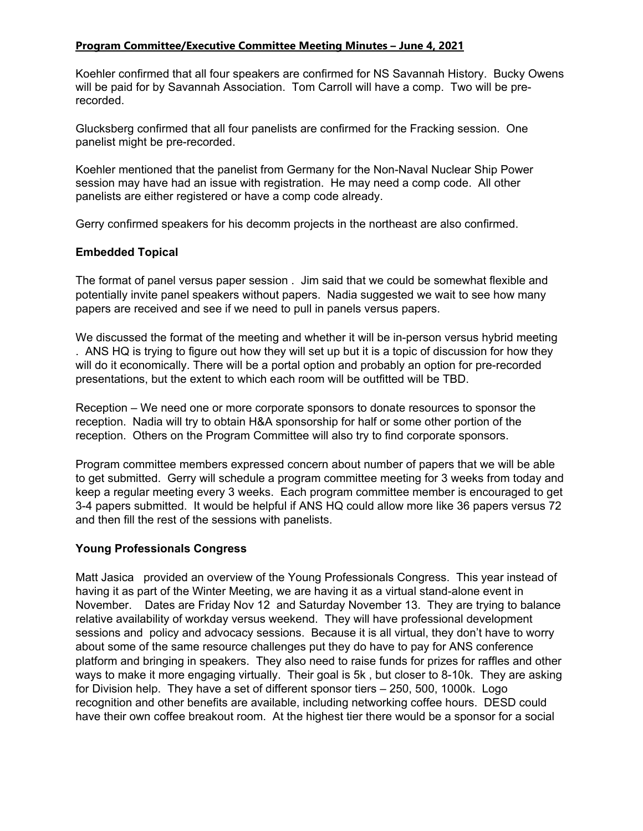## **Program Committee/Executive Committee Meeting Minutes – June 4, 2021**

Koehler confirmed that all four speakers are confirmed for NS Savannah History. Bucky Owens will be paid for by Savannah Association. Tom Carroll will have a comp. Two will be prerecorded.

Glucksberg confirmed that all four panelists are confirmed for the Fracking session. One panelist might be pre-recorded.

Koehler mentioned that the panelist from Germany for the Non-Naval Nuclear Ship Power session may have had an issue with registration. He may need a comp code. All other panelists are either registered or have a comp code already.

Gerry confirmed speakers for his decomm projects in the northeast are also confirmed.

### **Embedded Topical**

The format of panel versus paper session . Jim said that we could be somewhat flexible and potentially invite panel speakers without papers. Nadia suggested we wait to see how many papers are received and see if we need to pull in panels versus papers.

We discussed the format of the meeting and whether it will be in-person versus hybrid meeting . ANS HQ is trying to figure out how they will set up but it is a topic of discussion for how they will do it economically. There will be a portal option and probably an option for pre-recorded presentations, but the extent to which each room will be outfitted will be TBD.

Reception – We need one or more corporate sponsors to donate resources to sponsor the reception. Nadia will try to obtain H&A sponsorship for half or some other portion of the reception. Others on the Program Committee will also try to find corporate sponsors.

Program committee members expressed concern about number of papers that we will be able to get submitted. Gerry will schedule a program committee meeting for 3 weeks from today and keep a regular meeting every 3 weeks. Each program committee member is encouraged to get 3-4 papers submitted. It would be helpful if ANS HQ could allow more like 36 papers versus 72 and then fill the rest of the sessions with panelists.

### **Young Professionals Congress**

Matt Jasica provided an overview of the Young Professionals Congress. This year instead of having it as part of the Winter Meeting, we are having it as a virtual stand-alone event in November. Dates are Friday Nov 12 and Saturday November 13. They are trying to balance relative availability of workday versus weekend. They will have professional development sessions and policy and advocacy sessions. Because it is all virtual, they don't have to worry about some of the same resource challenges put they do have to pay for ANS conference platform and bringing in speakers. They also need to raise funds for prizes for raffles and other ways to make it more engaging virtually. Their goal is 5k , but closer to 8-10k. They are asking for Division help. They have a set of different sponsor tiers – 250, 500, 1000k. Logo recognition and other benefits are available, including networking coffee hours. DESD could have their own coffee breakout room. At the highest tier there would be a sponsor for a social